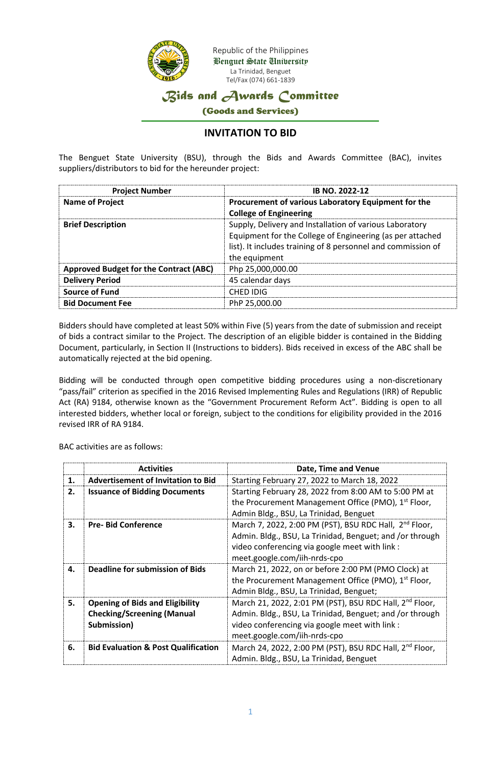

## *Bids and Awards Committee*

(Goods and Services)

## **INVITATION TO BID**

The Benguet State University (BSU), through the Bids and Awards Committee (BAC), invites suppliers/distributors to bid for the hereunder project:

| <b>Project Number</b>                         | <b>IB NO. 2022-12</b>                                                                                                                                                                                 |
|-----------------------------------------------|-------------------------------------------------------------------------------------------------------------------------------------------------------------------------------------------------------|
| <b>Name of Project</b>                        | Procurement of various Laboratory Equipment for the<br><b>College of Engineering</b>                                                                                                                  |
| <b>Brief Description</b>                      | Supply, Delivery and Installation of various Laboratory<br>Equipment for the College of Engineering (as per attached<br>list). It includes training of 8 personnel and commission of<br>the equipment |
| <b>Approved Budget for the Contract (ABC)</b> | Php 25,000,000.00                                                                                                                                                                                     |
| <b>Delivery Period</b>                        | 45 calendar days                                                                                                                                                                                      |
| <b>Source of Fund</b>                         | CHED IDIG                                                                                                                                                                                             |
| <b>Bid Document Fee</b>                       | PhP 25,000.00                                                                                                                                                                                         |

Bidders should have completed at least 50% within Five (5) years from the date of submission and receipt of bids a contract similar to the Project. The description of an eligible bidder is contained in the Bidding Document, particularly, in Section II (Instructions to bidders). Bids received in excess of the ABC shall be automatically rejected at the bid opening.

Bidding will be conducted through open competitive bidding procedures using a non-discretionary "pass/fail" criterion as specified in the 2016 Revised Implementing Rules and Regulations (IRR) of Republic Act (RA) 9184, otherwise known as the "Government Procurement Reform Act". Bidding is open to all interested bidders, whether local or foreign, subject to the conditions for eligibility provided in the 2016 revised IRR of RA 9184.

BAC activities are as follows:

|    | <b>Activities</b>                                                                          | Date, Time and Venue                                                                                                                                                                                              |
|----|--------------------------------------------------------------------------------------------|-------------------------------------------------------------------------------------------------------------------------------------------------------------------------------------------------------------------|
| 1. | Advertisement of Invitation to Bid                                                         | Starting February 27, 2022 to March 18, 2022                                                                                                                                                                      |
| 2. | <b>Issuance of Bidding Documents</b>                                                       | Starting February 28, 2022 from 8:00 AM to 5:00 PM at<br>the Procurement Management Office (PMO), 1 <sup>st</sup> Floor,<br>Admin Bldg., BSU, La Trinidad, Benguet                                                |
| 3. | <b>Pre-Bid Conference</b>                                                                  | March 7, 2022, 2:00 PM (PST), BSU RDC Hall, 2 <sup>nd</sup> Floor,<br>Admin. Bldg., BSU, La Trinidad, Benguet; and /or through<br>video conferencing via google meet with link :<br>meet.google.com/iih-nrds-cpo  |
| 4. | Deadline for submission of Bids                                                            | March 21, 2022, on or before 2:00 PM (PMO Clock) at<br>the Procurement Management Office (PMO), 1 <sup>st</sup> Floor,<br>Admin Bldg., BSU, La Trinidad, Benguet;                                                 |
| 5. | <b>Opening of Bids and Eligibility</b><br><b>Checking/Screening (Manual</b><br>Submission) | March 21, 2022, 2:01 PM (PST), BSU RDC Hall, 2 <sup>nd</sup> Floor,<br>Admin. Bldg., BSU, La Trinidad, Benguet; and /or through<br>video conferencing via google meet with link :<br>meet.google.com/iih-nrds-cpo |
| 6. | <b>Bid Evaluation &amp; Post Qualification</b>                                             | March 24, 2022, 2:00 PM (PST), BSU RDC Hall, 2 <sup>nd</sup> Floor,<br>Admin. Bldg., BSU, La Trinidad, Benguet                                                                                                    |